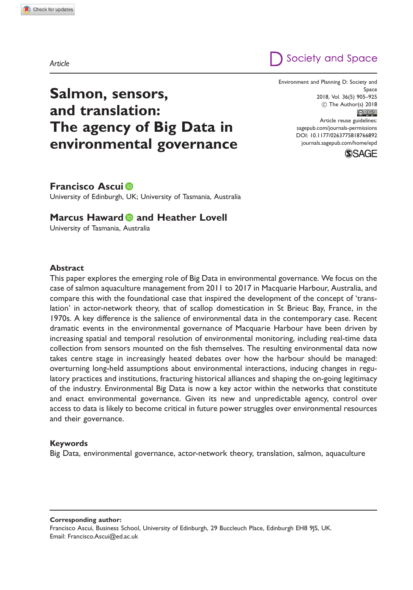## Society and Space

# Salmon, sensors, and translation: The agency of Big Data in environmental governance

Environment and Planning D: Society and Space 2018, Vol. 36(5) 905–925 (C) The Author(s) 2018  $\bigcirc$   $\bullet$ Article reuse guidelines: [sagepub.com/journals-permissions](http://uk.sagepub.com/en-gb/journals-permissions) [DOI: 10.1177/0263775818766892](http://dx.doi.org/10.1177/0263775818766892) <journals.sagepub.com/home/epd>



## Francisco Ascui

University of Edinburgh, UK; University of Tasmania, Australia

## Marcus Haward **D** and Heather Lovell

University of Tasmania, Australia

#### Abstract

This paper explores the emerging role of Big Data in environmental governance. We focus on the case of salmon aquaculture management from 2011 to 2017 in Macquarie Harbour, Australia, and compare this with the foundational case that inspired the development of the concept of 'translation' in actor-network theory, that of scallop domestication in St Brieuc Bay, France, in the 1970s. A key difference is the salience of environmental data in the contemporary case. Recent dramatic events in the environmental governance of Macquarie Harbour have been driven by increasing spatial and temporal resolution of environmental monitoring, including real-time data collection from sensors mounted on the fish themselves. The resulting environmental data now takes centre stage in increasingly heated debates over how the harbour should be managed: overturning long-held assumptions about environmental interactions, inducing changes in regulatory practices and institutions, fracturing historical alliances and shaping the on-going legitimacy of the industry. Environmental Big Data is now a key actor within the networks that constitute and enact environmental governance. Given its new and unpredictable agency, control over access to data is likely to become critical in future power struggles over environmental resources and their governance.

#### Keywords

Big Data, environmental governance, actor-network theory, translation, salmon, aquaculture

Corresponding author:

Francisco Ascui, Business School, University of Edinburgh, 29 Buccleuch Place, Edinburgh EH8 9JS, UK. Email: [Francisco.Ascui@ed.ac.uk](mailto:Francisco.Ascui@ed.ac.uk)

Article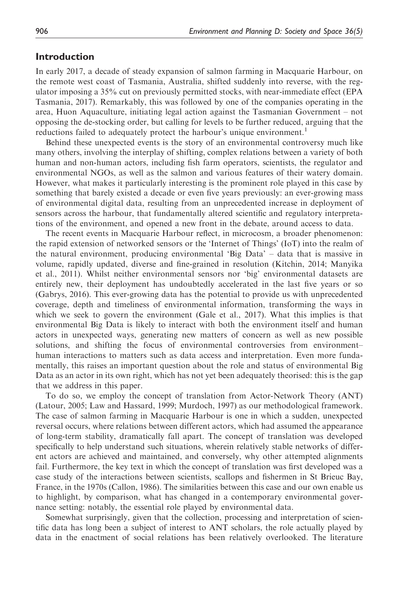## Introduction

In early 2017, a decade of steady expansion of salmon farming in Macquarie Harbour, on the remote west coast of Tasmania, Australia, shifted suddenly into reverse, with the regulator imposing a 35% cut on previously permitted stocks, with near-immediate effect (EPA Tasmania, 2017). Remarkably, this was followed by one of the companies operating in the area, Huon Aquaculture, initiating legal action against the Tasmanian Government – not opposing the de-stocking order, but calling for levels to be further reduced, arguing that the reductions failed to adequately protect the harbour's unique environment.<sup>1</sup>

Behind these unexpected events is the story of an environmental controversy much like many others, involving the interplay of shifting, complex relations between a variety of both human and non-human actors, including fish farm operators, scientists, the regulator and environmental NGOs, as well as the salmon and various features of their watery domain. However, what makes it particularly interesting is the prominent role played in this case by something that barely existed a decade or even five years previously: an ever-growing mass of environmental digital data, resulting from an unprecedented increase in deployment of sensors across the harbour, that fundamentally altered scientific and regulatory interpretations of the environment, and opened a new front in the debate, around access to data.

The recent events in Macquarie Harbour reflect, in microcosm, a broader phenomenon: the rapid extension of networked sensors or the 'Internet of Things' (IoT) into the realm of the natural environment, producing environmental 'Big Data' – data that is massive in volume, rapidly updated, diverse and fine-grained in resolution (Kitchin, 2014; Manyika et al., 2011). Whilst neither environmental sensors nor 'big' environmental datasets are entirely new, their deployment has undoubtedly accelerated in the last five years or so (Gabrys, 2016). This ever-growing data has the potential to provide us with unprecedented coverage, depth and timeliness of environmental information, transforming the ways in which we seek to govern the environment (Gale et al., 2017). What this implies is that environmental Big Data is likely to interact with both the environment itself and human actors in unexpected ways, generating new matters of concern as well as new possible solutions, and shifting the focus of environmental controversies from environment– human interactions to matters such as data access and interpretation. Even more fundamentally, this raises an important question about the role and status of environmental Big Data as an actor in its own right, which has not yet been adequately theorised: this is the gap that we address in this paper.

To do so, we employ the concept of translation from Actor-Network Theory (ANT) (Latour, 2005; Law and Hassard, 1999; Murdoch, 1997) as our methodological framework. The case of salmon farming in Macquarie Harbour is one in which a sudden, unexpected reversal occurs, where relations between different actors, which had assumed the appearance of long-term stability, dramatically fall apart. The concept of translation was developed specifically to help understand such situations, wherein relatively stable networks of different actors are achieved and maintained, and conversely, why other attempted alignments fail. Furthermore, the key text in which the concept of translation was first developed was a case study of the interactions between scientists, scallops and fishermen in St Brieuc Bay, France, in the 1970s (Callon, 1986). The similarities between this case and our own enable us to highlight, by comparison, what has changed in a contemporary environmental governance setting: notably, the essential role played by environmental data.

Somewhat surprisingly, given that the collection, processing and interpretation of scientific data has long been a subject of interest to ANT scholars, the role actually played by data in the enactment of social relations has been relatively overlooked. The literature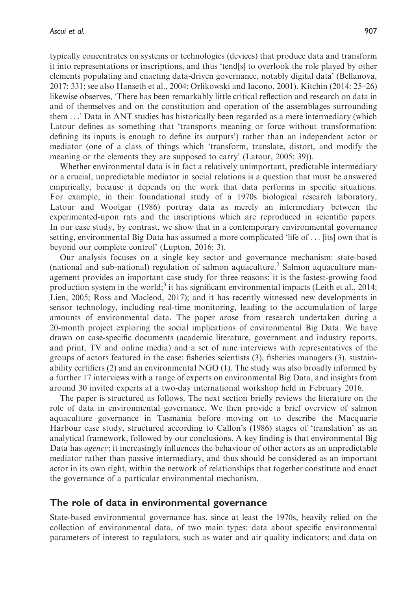typically concentrates on systems or technologies (devices) that produce data and transform it into representations or inscriptions, and thus 'tend[s] to overlook the role played by other elements populating and enacting data-driven governance, notably digital data' (Bellanova, 2017: 331; see also Hanseth et al., 2004; Orlikowski and Iacono, 2001). Kitchin (2014: 25–26) likewise observes, 'There has been remarkably little critical reflection and research on data in and of themselves and on the constitution and operation of the assemblages surrounding them ...' Data in ANT studies has historically been regarded as a mere intermediary (which Latour defines as something that 'transports meaning or force without transformation: defining its inputs is enough to define its outputs') rather than an independent actor or mediator (one of a class of things which 'transform, translate, distort, and modify the meaning or the elements they are supposed to carry' (Latour, 2005: 39)).

Whether environmental data is in fact a relatively unimportant, predictable intermediary or a crucial, unpredictable mediator in social relations is a question that must be answered empirically, because it depends on the work that data performs in specific situations. For example, in their foundational study of a 1970s biological research laboratory, Latour and Woolgar (1986) portray data as merely an intermediary between the experimented-upon rats and the inscriptions which are reproduced in scientific papers. In our case study, by contrast, we show that in a contemporary environmental governance setting, environmental Big Data has assumed a more complicated 'life of ... [its] own that is beyond our complete control' (Lupton, 2016: 3).

Our analysis focuses on a single key sector and governance mechanism: state-based (national and sub-national) regulation of salmon aquaculture.<sup>2</sup> Salmon aquaculture management provides an important case study for three reasons: it is the fastest-growing food production system in the world;<sup>3</sup> it has significant environmental impacts (Leith et al., 2014; Lien, 2005; Ross and Macleod, 2017); and it has recently witnessed new developments in sensor technology, including real-time monitoring, leading to the accumulation of large amounts of environmental data. The paper arose from research undertaken during a 20-month project exploring the social implications of environmental Big Data. We have drawn on case-specific documents (academic literature, government and industry reports, and print, TV and online media) and a set of nine interviews with representatives of the groups of actors featured in the case: fisheries scientists (3), fisheries managers (3), sustainability certifiers (2) and an environmental NGO (1). The study was also broadly informed by a further 17 interviews with a range of experts on environmental Big Data, and insights from around 30 invited experts at a two-day international workshop held in February 2016.

The paper is structured as follows. The next section briefly reviews the literature on the role of data in environmental governance. We then provide a brief overview of salmon aquaculture governance in Tasmania before moving on to describe the Macquarie Harbour case study, structured according to Callon's (1986) stages of 'translation' as an analytical framework, followed by our conclusions. A key finding is that environmental Big Data has *agency*: it increasingly influences the behaviour of other actors as an unpredictable mediator rather than passive intermediary, and thus should be considered as an important actor in its own right, within the network of relationships that together constitute and enact the governance of a particular environmental mechanism.

#### The role of data in environmental governance

State-based environmental governance has, since at least the 1970s, heavily relied on the collection of environmental data, of two main types: data about specific environmental parameters of interest to regulators, such as water and air quality indicators; and data on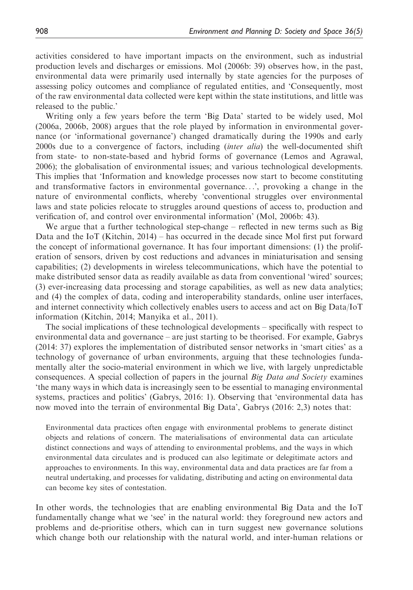activities considered to have important impacts on the environment, such as industrial production levels and discharges or emissions. Mol (2006b: 39) observes how, in the past, environmental data were primarily used internally by state agencies for the purposes of assessing policy outcomes and compliance of regulated entities, and 'Consequently, most of the raw environmental data collected were kept within the state institutions, and little was released to the public.'

Writing only a few years before the term 'Big Data' started to be widely used, Mol (2006a, 2006b, 2008) argues that the role played by information in environmental governance (or 'informational governance') changed dramatically during the 1990s and early 2000s due to a convergence of factors, including *(inter alia)* the well-documented shift from state- to non-state-based and hybrid forms of governance (Lemos and Agrawal, 2006); the globalisation of environmental issues; and various technological developments. This implies that 'Information and knowledge processes now start to become constituting and transformative factors in environmental governance...', provoking a change in the nature of environmental conflicts, whereby 'conventional struggles over environmental laws and state policies relocate to struggles around questions of access to, production and verification of, and control over environmental information' (Mol, 2006b: 43).

We argue that a further technological step-change – reflected in new terms such as Big Data and the IoT (Kitchin, 2014) – has occurred in the decade since Mol first put forward the concept of informational governance. It has four important dimensions: (1) the proliferation of sensors, driven by cost reductions and advances in miniaturisation and sensing capabilities; (2) developments in wireless telecommunications, which have the potential to make distributed sensor data as readily available as data from conventional 'wired' sources; (3) ever-increasing data processing and storage capabilities, as well as new data analytics; and (4) the complex of data, coding and interoperability standards, online user interfaces, and internet connectivity which collectively enables users to access and act on Big Data/IoT information (Kitchin, 2014; Manyika et al., 2011).

The social implications of these technological developments – specifically with respect to environmental data and governance – are just starting to be theorised. For example, Gabrys (2014: 37) explores the implementation of distributed sensor networks in 'smart cities' as a technology of governance of urban environments, arguing that these technologies fundamentally alter the socio-material environment in which we live, with largely unpredictable consequences. A special collection of papers in the journal *Big Data and Society* examines 'the many ways in which data is increasingly seen to be essential to managing environmental systems, practices and politics' (Gabrys, 2016: 1). Observing that 'environmental data has now moved into the terrain of environmental Big Data', Gabrys (2016: 2,3) notes that:

Environmental data practices often engage with environmental problems to generate distinct objects and relations of concern. The materialisations of environmental data can articulate distinct connections and ways of attending to environmental problems, and the ways in which environmental data circulates and is produced can also legitimate or delegitimate actors and approaches to environments. In this way, environmental data and data practices are far from a neutral undertaking, and processes for validating, distributing and acting on environmental data can become key sites of contestation.

In other words, the technologies that are enabling environmental Big Data and the IoT fundamentally change what we 'see' in the natural world: they foreground new actors and problems and de-prioritise others, which can in turn suggest new governance solutions which change both our relationship with the natural world, and inter-human relations or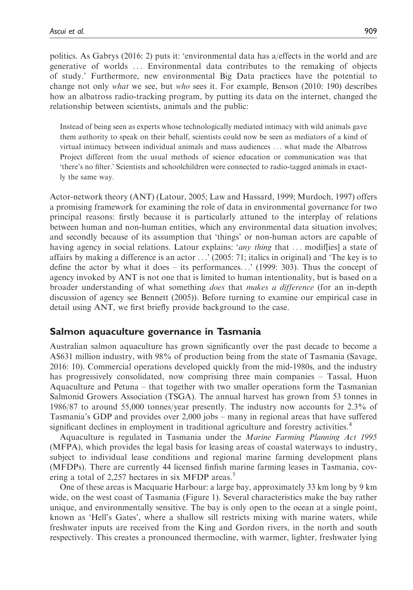politics. As Gabrys (2016: 2) puts it: 'environmental data has a/effects in the world and are generative of worlds ... Environmental data contributes to the remaking of objects of study.' Furthermore, new environmental Big Data practices have the potential to change not only what we see, but who sees it. For example, Benson (2010: 190) describes how an albatross radio-tracking program, by putting its data on the internet, changed the relationship between scientists, animals and the public:

Instead of being seen as experts whose technologically mediated intimacy with wild animals gave them authority to speak on their behalf, scientists could now be seen as mediators of a kind of virtual intimacy between individual animals and mass audiences ... what made the Albatross Project different from the usual methods of science education or communication was that 'there's no filter.' Scientists and schoolchildren were connected to radio-tagged animals in exactly the same way.

Actor-network theory (ANT) (Latour, 2005; Law and Hassard, 1999; Murdoch, 1997) offers a promising framework for examining the role of data in environmental governance for two principal reasons: firstly because it is particularly attuned to the interplay of relations between human and non-human entities, which any environmental data situation involves; and secondly because of its assumption that 'things' or non-human actors are capable of having agency in social relations. Latour explains: 'any thing that ... modiffies] a state of affairs by making a difference is an actor ...' (2005: 71; italics in original) and 'The key is to define the actor by what it does – its performances...' (1999: 303). Thus the concept of agency invoked by ANT is not one that is limited to human intentionality, but is based on a broader understanding of what something does that makes a difference (for an in-depth discussion of agency see Bennett (2005)). Before turning to examine our empirical case in detail using ANT, we first briefly provide background to the case.

## Salmon aquaculture governance in Tasmania

Australian salmon aquaculture has grown significantly over the past decade to become a A\$631 million industry, with 98% of production being from the state of Tasmania (Savage, 2016: 10). Commercial operations developed quickly from the mid-1980s, and the industry has progressively consolidated, now comprising three main companies – Tassal, Huon Aquaculture and Petuna – that together with two smaller operations form the Tasmanian Salmonid Growers Association (TSGA). The annual harvest has grown from 53 tonnes in 1986/87 to around 55,000 tonnes/year presently. The industry now accounts for 2.3% of Tasmania's GDP and provides over 2,000 jobs – many in regional areas that have suffered significant declines in employment in traditional agriculture and forestry activities.<sup>4</sup>

Aquaculture is regulated in Tasmania under the Marine Farming Planning Act 1995 (MFPA), which provides the legal basis for leasing areas of coastal waterways to industry, subject to individual lease conditions and regional marine farming development plans (MFDPs). There are currently 44 licensed finfish marine farming leases in Tasmania, covering a total of 2,257 hectares in six MFDP areas.<sup>5</sup>

One of these areas is Macquarie Harbour: a large bay, approximately 33 km long by 9 km wide, on the west coast of Tasmania (Figure 1). Several characteristics make the bay rather unique, and environmentally sensitive. The bay is only open to the ocean at a single point, known as 'Hell's Gates', where a shallow sill restricts mixing with marine waters, while freshwater inputs are received from the King and Gordon rivers, in the north and south respectively. This creates a pronounced thermocline, with warmer, lighter, freshwater lying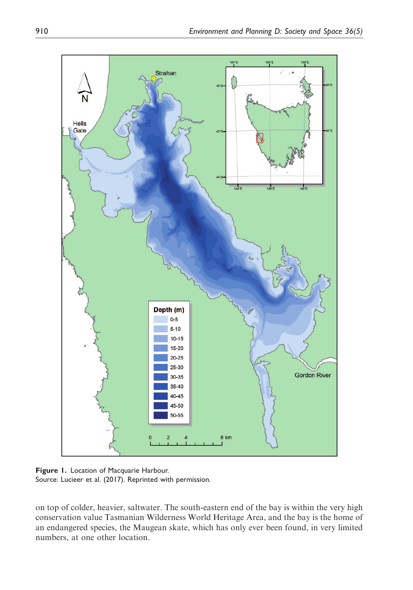

Figure 1. Location of Macquarie Harbour. Source: Lucieer et al. (2017). Reprinted with permission.

on top of colder, heavier, saltwater. The south-eastern end of the bay is within the very high conservation value Tasmanian Wilderness World Heritage Area, and the bay is the home of an endangered species, the Maugean skate, which has only ever been found, in very limited numbers, at one other location.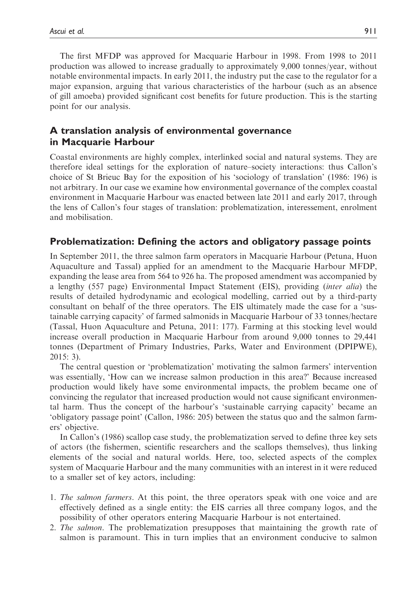The first MFDP was approved for Macquarie Harbour in 1998. From 1998 to 2011 production was allowed to increase gradually to approximately 9,000 tonnes/year, without notable environmental impacts. In early 2011, the industry put the case to the regulator for a major expansion, arguing that various characteristics of the harbour (such as an absence of gill amoeba) provided significant cost benefits for future production. This is the starting point for our analysis.

## A translation analysis of environmental governance in Macquarie Harbour

Coastal environments are highly complex, interlinked social and natural systems. They are therefore ideal settings for the exploration of nature–society interactions: thus Callon's choice of St Brieuc Bay for the exposition of his 'sociology of translation' (1986: 196) is not arbitrary. In our case we examine how environmental governance of the complex coastal environment in Macquarie Harbour was enacted between late 2011 and early 2017, through the lens of Callon's four stages of translation: problematization, interessement, enrolment and mobilisation.

## Problematization: Defining the actors and obligatory passage points

In September 2011, the three salmon farm operators in Macquarie Harbour (Petuna, Huon Aquaculture and Tassal) applied for an amendment to the Macquarie Harbour MFDP, expanding the lease area from 564 to 926 ha. The proposed amendment was accompanied by a lengthy (557 page) Environmental Impact Statement (EIS), providing (inter alia) the results of detailed hydrodynamic and ecological modelling, carried out by a third-party consultant on behalf of the three operators. The EIS ultimately made the case for a 'sustainable carrying capacity' of farmed salmonids in Macquarie Harbour of 33 tonnes/hectare (Tassal, Huon Aquaculture and Petuna, 2011: 177). Farming at this stocking level would increase overall production in Macquarie Harbour from around 9,000 tonnes to 29,441 tonnes (Department of Primary Industries, Parks, Water and Environment (DPIPWE), 2015: 3).

The central question or 'problematization' motivating the salmon farmers' intervention was essentially, 'How can we increase salmon production in this area?' Because increased production would likely have some environmental impacts, the problem became one of convincing the regulator that increased production would not cause significant environmental harm. Thus the concept of the harbour's 'sustainable carrying capacity' became an 'obligatory passage point' (Callon, 1986: 205) between the status quo and the salmon farmers' objective.

In Callon's (1986) scallop case study, the problematization served to define three key sets of actors (the fishermen, scientific researchers and the scallops themselves), thus linking elements of the social and natural worlds. Here, too, selected aspects of the complex system of Macquarie Harbour and the many communities with an interest in it were reduced to a smaller set of key actors, including:

- 1. The salmon farmers. At this point, the three operators speak with one voice and are effectively defined as a single entity: the EIS carries all three company logos, and the possibility of other operators entering Macquarie Harbour is not entertained.
- 2. The salmon. The problematization presupposes that maintaining the growth rate of salmon is paramount. This in turn implies that an environment conducive to salmon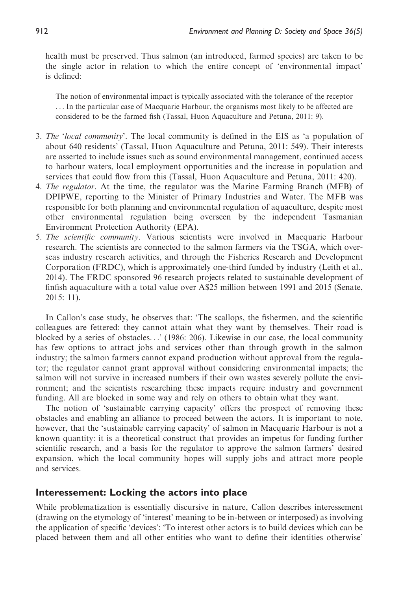health must be preserved. Thus salmon (an introduced, farmed species) are taken to be the single actor in relation to which the entire concept of 'environmental impact' is defined:

The notion of environmental impact is typically associated with the tolerance of the receptor ... In the particular case of Macquarie Harbour, the organisms most likely to be affected are considered to be the farmed fish (Tassal, Huon Aquaculture and Petuna, 2011: 9).

- 3. The 'local community'. The local community is defined in the EIS as 'a population of about 640 residents' (Tassal, Huon Aquaculture and Petuna, 2011: 549). Their interests are asserted to include issues such as sound environmental management, continued access to harbour waters, local employment opportunities and the increase in population and services that could flow from this (Tassal, Huon Aquaculture and Petuna, 2011: 420).
- 4. The regulator. At the time, the regulator was the Marine Farming Branch (MFB) of DPIPWE, reporting to the Minister of Primary Industries and Water. The MFB was responsible for both planning and environmental regulation of aquaculture, despite most other environmental regulation being overseen by the independent Tasmanian Environment Protection Authority (EPA).
- 5. The scientific community. Various scientists were involved in Macquarie Harbour research. The scientists are connected to the salmon farmers via the TSGA, which overseas industry research activities, and through the Fisheries Research and Development Corporation (FRDC), which is approximately one-third funded by industry (Leith et al., 2014). The FRDC sponsored 96 research projects related to sustainable development of finfish aquaculture with a total value over A\$25 million between 1991 and 2015 (Senate, 2015: 11).

In Callon's case study, he observes that: 'The scallops, the fishermen, and the scientific colleagues are fettered: they cannot attain what they want by themselves. Their road is blocked by a series of obstacles...' (1986: 206). Likewise in our case, the local community has few options to attract jobs and services other than through growth in the salmon industry; the salmon farmers cannot expand production without approval from the regulator; the regulator cannot grant approval without considering environmental impacts; the salmon will not survive in increased numbers if their own wastes severely pollute the environment; and the scientists researching these impacts require industry and government funding. All are blocked in some way and rely on others to obtain what they want.

The notion of 'sustainable carrying capacity' offers the prospect of removing these obstacles and enabling an alliance to proceed between the actors. It is important to note, however, that the 'sustainable carrying capacity' of salmon in Macquarie Harbour is not a known quantity: it is a theoretical construct that provides an impetus for funding further scientific research, and a basis for the regulator to approve the salmon farmers' desired expansion, which the local community hopes will supply jobs and attract more people and services.

## Interessement: Locking the actors into place

While problematization is essentially discursive in nature, Callon describes interessement (drawing on the etymology of 'interest' meaning to be in-between or interposed) as involving the application of specific 'devices': 'To interest other actors is to build devices which can be placed between them and all other entities who want to define their identities otherwise'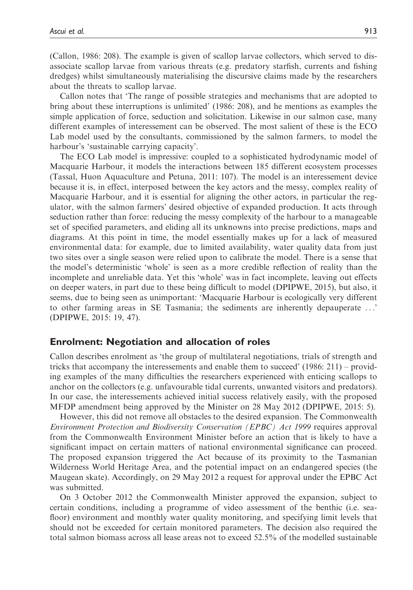(Callon, 1986: 208). The example is given of scallop larvae collectors, which served to disassociate scallop larvae from various threats (e.g. predatory starfish, currents and fishing dredges) whilst simultaneously materialising the discursive claims made by the researchers about the threats to scallop larvae.

Callon notes that 'The range of possible strategies and mechanisms that are adopted to bring about these interruptions is unlimited' (1986: 208), and he mentions as examples the simple application of force, seduction and solicitation. Likewise in our salmon case, many different examples of interessement can be observed. The most salient of these is the ECO Lab model used by the consultants, commissioned by the salmon farmers, to model the harbour's 'sustainable carrying capacity'.

The ECO Lab model is impressive: coupled to a sophisticated hydrodynamic model of Macquarie Harbour, it models the interactions between 185 different ecosystem processes (Tassal, Huon Aquaculture and Petuna, 2011: 107). The model is an interessement device because it is, in effect, interposed between the key actors and the messy, complex reality of Macquarie Harbour, and it is essential for aligning the other actors, in particular the regulator, with the salmon farmers' desired objective of expanded production. It acts through seduction rather than force: reducing the messy complexity of the harbour to a manageable set of specified parameters, and eliding all its unknowns into precise predictions, maps and diagrams. At this point in time, the model essentially makes up for a lack of measured environmental data: for example, due to limited availability, water quality data from just two sites over a single season were relied upon to calibrate the model. There is a sense that the model's deterministic 'whole' is seen as a more credible reflection of reality than the incomplete and unreliable data. Yet this 'whole' was in fact incomplete, leaving out effects on deeper waters, in part due to these being difficult to model (DPIPWE, 2015), but also, it seems, due to being seen as unimportant: 'Macquarie Harbour is ecologically very different to other farming areas in SE Tasmania; the sediments are inherently depauperate ...' (DPIPWE, 2015: 19, 47).

#### Enrolment: Negotiation and allocation of roles

Callon describes enrolment as 'the group of multilateral negotiations, trials of strength and tricks that accompany the interessements and enable them to succeed' (1986: 211) – providing examples of the many difficulties the researchers experienced with enticing scallops to anchor on the collectors (e.g. unfavourable tidal currents, unwanted visitors and predators). In our case, the interessements achieved initial success relatively easily, with the proposed MFDP amendment being approved by the Minister on 28 May 2012 (DPIPWE, 2015: 5).

However, this did not remove all obstacles to the desired expansion. The Commonwealth Environment Protection and Biodiversity Conservation (EPBC) Act 1999 requires approval from the Commonwealth Environment Minister before an action that is likely to have a significant impact on certain matters of national environmental significance can proceed. The proposed expansion triggered the Act because of its proximity to the Tasmanian Wilderness World Heritage Area, and the potential impact on an endangered species (the Maugean skate). Accordingly, on 29 May 2012 a request for approval under the EPBC Act was submitted.

On 3 October 2012 the Commonwealth Minister approved the expansion, subject to certain conditions, including a programme of video assessment of the benthic (i.e. seafloor) environment and monthly water quality monitoring, and specifying limit levels that should not be exceeded for certain monitored parameters. The decision also required the total salmon biomass across all lease areas not to exceed 52.5% of the modelled sustainable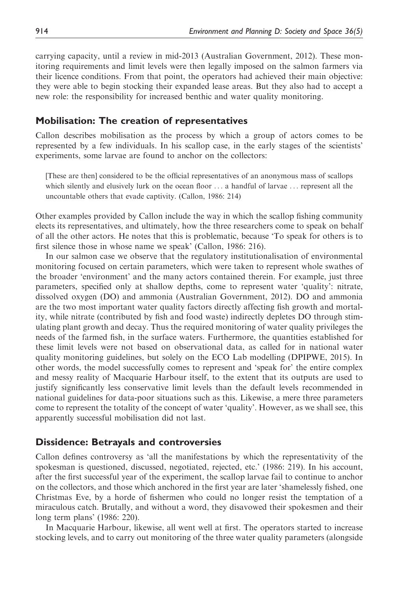carrying capacity, until a review in mid-2013 (Australian Government, 2012). These monitoring requirements and limit levels were then legally imposed on the salmon farmers via their licence conditions. From that point, the operators had achieved their main objective: they were able to begin stocking their expanded lease areas. But they also had to accept a new role: the responsibility for increased benthic and water quality monitoring.

## Mobilisation: The creation of representatives

Callon describes mobilisation as the process by which a group of actors comes to be represented by a few individuals. In his scallop case, in the early stages of the scientists' experiments, some larvae are found to anchor on the collectors:

[These are then] considered to be the official representatives of an anonymous mass of scallops which silently and elusively lurk on the ocean floor ... a handful of larvae ... represent all the uncountable others that evade captivity. (Callon, 1986: 214)

Other examples provided by Callon include the way in which the scallop fishing community elects its representatives, and ultimately, how the three researchers come to speak on behalf of all the other actors. He notes that this is problematic, because 'To speak for others is to first silence those in whose name we speak' (Callon, 1986: 216).

In our salmon case we observe that the regulatory institutionalisation of environmental monitoring focused on certain parameters, which were taken to represent whole swathes of the broader 'environment' and the many actors contained therein. For example, just three parameters, specified only at shallow depths, come to represent water 'quality': nitrate, dissolved oxygen (DO) and ammonia (Australian Government, 2012). DO and ammonia are the two most important water quality factors directly affecting fish growth and mortality, while nitrate (contributed by fish and food waste) indirectly depletes DO through stimulating plant growth and decay. Thus the required monitoring of water quality privileges the needs of the farmed fish, in the surface waters. Furthermore, the quantities established for these limit levels were not based on observational data, as called for in national water quality monitoring guidelines, but solely on the ECO Lab modelling (DPIPWE, 2015). In other words, the model successfully comes to represent and 'speak for' the entire complex and messy reality of Macquarie Harbour itself, to the extent that its outputs are used to justify significantly less conservative limit levels than the default levels recommended in national guidelines for data-poor situations such as this. Likewise, a mere three parameters come to represent the totality of the concept of water 'quality'. However, as we shall see, this apparently successful mobilisation did not last.

## Dissidence: Betrayals and controversies

Callon defines controversy as 'all the manifestations by which the representativity of the spokesman is questioned, discussed, negotiated, rejected, etc.' (1986: 219). In his account, after the first successful year of the experiment, the scallop larvae fail to continue to anchor on the collectors, and those which anchored in the first year are later 'shamelessly fished, one Christmas Eve, by a horde of fishermen who could no longer resist the temptation of a miraculous catch. Brutally, and without a word, they disavowed their spokesmen and their long term plans' (1986: 220).

In Macquarie Harbour, likewise, all went well at first. The operators started to increase stocking levels, and to carry out monitoring of the three water quality parameters (alongside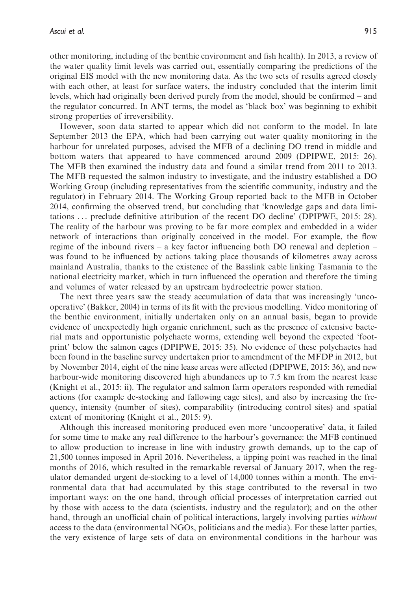other monitoring, including of the benthic environment and fish health). In 2013, a review of the water quality limit levels was carried out, essentially comparing the predictions of the original EIS model with the new monitoring data. As the two sets of results agreed closely with each other, at least for surface waters, the industry concluded that the interim limit levels, which had originally been derived purely from the model, should be confirmed – and the regulator concurred. In ANT terms, the model as 'black box' was beginning to exhibit strong properties of irreversibility.

However, soon data started to appear which did not conform to the model. In late September 2013 the EPA, which had been carrying out water quality monitoring in the harbour for unrelated purposes, advised the MFB of a declining DO trend in middle and bottom waters that appeared to have commenced around 2009 (DPIPWE, 2015: 26). The MFB then examined the industry data and found a similar trend from 2011 to 2013. The MFB requested the salmon industry to investigate, and the industry established a DO Working Group (including representatives from the scientific community, industry and the regulator) in February 2014. The Working Group reported back to the MFB in October 2014, confirming the observed trend, but concluding that 'knowledge gaps and data limitations ... preclude definitive attribution of the recent DO decline' (DPIPWE, 2015: 28). The reality of the harbour was proving to be far more complex and embedded in a wider network of interactions than originally conceived in the model. For example, the flow regime of the inbound rivers – a key factor influencing both DO renewal and depletion – was found to be influenced by actions taking place thousands of kilometres away across mainland Australia, thanks to the existence of the Basslink cable linking Tasmania to the national electricity market, which in turn influenced the operation and therefore the timing and volumes of water released by an upstream hydroelectric power station.

The next three years saw the steady accumulation of data that was increasingly 'uncooperative' (Bakker, 2004) in terms of its fit with the previous modelling. Video monitoring of the benthic environment, initially undertaken only on an annual basis, began to provide evidence of unexpectedly high organic enrichment, such as the presence of extensive bacterial mats and opportunistic polychaete worms, extending well beyond the expected 'footprint' below the salmon cages (DPIPWE, 2015: 35). No evidence of these polychaetes had been found in the baseline survey undertaken prior to amendment of the MFDP in 2012, but by November 2014, eight of the nine lease areas were affected (DPIPWE, 2015: 36), and new harbour-wide monitoring discovered high abundances up to 7.5 km from the nearest lease (Knight et al., 2015: ii). The regulator and salmon farm operators responded with remedial actions (for example de-stocking and fallowing cage sites), and also by increasing the frequency, intensity (number of sites), comparability (introducing control sites) and spatial extent of monitoring (Knight et al., 2015: 9).

Although this increased monitoring produced even more 'uncooperative' data, it failed for some time to make any real difference to the harbour's governance: the MFB continued to allow production to increase in line with industry growth demands, up to the cap of 21,500 tonnes imposed in April 2016. Nevertheless, a tipping point was reached in the final months of 2016, which resulted in the remarkable reversal of January 2017, when the regulator demanded urgent de-stocking to a level of 14,000 tonnes within a month. The environmental data that had accumulated by this stage contributed to the reversal in two important ways: on the one hand, through official processes of interpretation carried out by those with access to the data (scientists, industry and the regulator); and on the other hand, through an unofficial chain of political interactions, largely involving parties *without* access to the data (environmental NGOs, politicians and the media). For these latter parties, the very existence of large sets of data on environmental conditions in the harbour was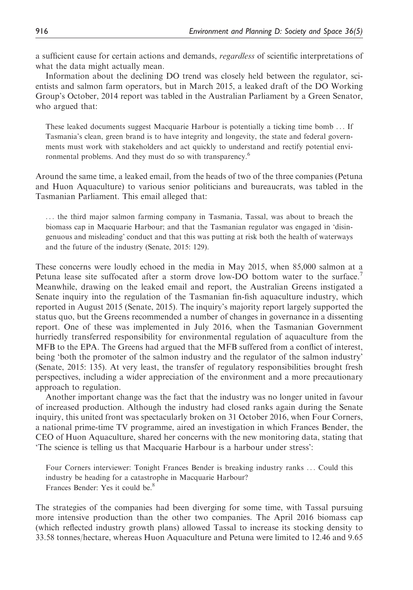a sufficient cause for certain actions and demands, *regardless* of scientific interpretations of what the data might actually mean.

Information about the declining DO trend was closely held between the regulator, scientists and salmon farm operators, but in March 2015, a leaked draft of the DO Working Group's October, 2014 report was tabled in the Australian Parliament by a Green Senator, who argued that:

These leaked documents suggest Macquarie Harbour is potentially a ticking time bomb ... If Tasmania's clean, green brand is to have integrity and longevity, the state and federal governments must work with stakeholders and act quickly to understand and rectify potential environmental problems. And they must do so with transparency.<sup>6</sup>

Around the same time, a leaked email, from the heads of two of the three companies (Petuna and Huon Aquaculture) to various senior politicians and bureaucrats, was tabled in the Tasmanian Parliament. This email alleged that:

... the third major salmon farming company in Tasmania, Tassal, was about to breach the biomass cap in Macquarie Harbour; and that the Tasmanian regulator was engaged in 'disingenuous and misleading' conduct and that this was putting at risk both the health of waterways and the future of the industry (Senate, 2015: 129).

These concerns were loudly echoed in the media in May 2015, when 85,000 salmon at a Petuna lease site suffocated after a storm drove low-DO bottom water to the surface.<sup>7</sup> Meanwhile, drawing on the leaked email and report, the Australian Greens instigated a Senate inquiry into the regulation of the Tasmanian fin-fish aquaculture industry, which reported in August 2015 (Senate, 2015). The inquiry's majority report largely supported the status quo, but the Greens recommended a number of changes in governance in a dissenting report. One of these was implemented in July 2016, when the Tasmanian Government hurriedly transferred responsibility for environmental regulation of aquaculture from the MFB to the EPA. The Greens had argued that the MFB suffered from a conflict of interest, being 'both the promoter of the salmon industry and the regulator of the salmon industry' (Senate, 2015: 135). At very least, the transfer of regulatory responsibilities brought fresh perspectives, including a wider appreciation of the environment and a more precautionary approach to regulation.

Another important change was the fact that the industry was no longer united in favour of increased production. Although the industry had closed ranks again during the Senate inquiry, this united front was spectacularly broken on 31 October 2016, when Four Corners, a national prime-time TV programme, aired an investigation in which Frances Bender, the CEO of Huon Aquaculture, shared her concerns with the new monitoring data, stating that 'The science is telling us that Macquarie Harbour is a harbour under stress':

Four Corners interviewer: Tonight Frances Bender is breaking industry ranks ... Could this industry be heading for a catastrophe in Macquarie Harbour? Frances Bender: Yes it could be.<sup>8</sup>

The strategies of the companies had been diverging for some time, with Tassal pursuing more intensive production than the other two companies. The April 2016 biomass cap (which reflected industry growth plans) allowed Tassal to increase its stocking density to 33.58 tonnes/hectare, whereas Huon Aquaculture and Petuna were limited to 12.46 and 9.65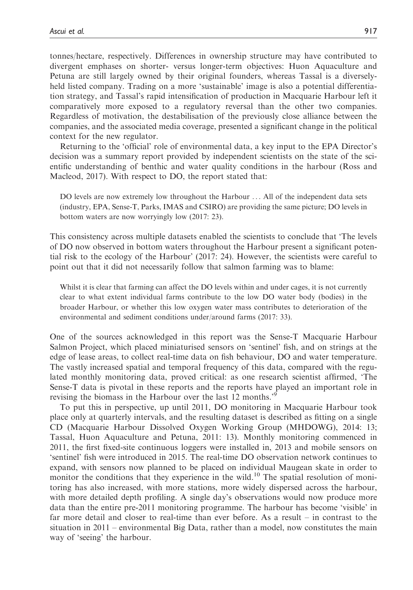tonnes/hectare, respectively. Differences in ownership structure may have contributed to divergent emphases on shorter- versus longer-term objectives: Huon Aquaculture and Petuna are still largely owned by their original founders, whereas Tassal is a diverselyheld listed company. Trading on a more 'sustainable' image is also a potential differentiation strategy, and Tassal's rapid intensification of production in Macquarie Harbour left it comparatively more exposed to a regulatory reversal than the other two companies. Regardless of motivation, the destabilisation of the previously close alliance between the companies, and the associated media coverage, presented a significant change in the political context for the new regulator.

Returning to the 'official' role of environmental data, a key input to the EPA Director's decision was a summary report provided by independent scientists on the state of the scientific understanding of benthic and water quality conditions in the harbour (Ross and Macleod, 2017). With respect to DO, the report stated that:

DO levels are now extremely low throughout the Harbour ... All of the independent data sets (industry, EPA, Sense-T, Parks, IMAS and CSIRO) are providing the same picture; DO levels in bottom waters are now worryingly low (2017: 23).

This consistency across multiple datasets enabled the scientists to conclude that 'The levels of DO now observed in bottom waters throughout the Harbour present a significant potential risk to the ecology of the Harbour' (2017: 24). However, the scientists were careful to point out that it did not necessarily follow that salmon farming was to blame:

Whilst it is clear that farming can affect the DO levels within and under cages, it is not currently clear to what extent individual farms contribute to the low DO water body (bodies) in the broader Harbour, or whether this low oxygen water mass contributes to deterioration of the environmental and sediment conditions under/around farms (2017: 33).

One of the sources acknowledged in this report was the Sense-T Macquarie Harbour Salmon Project, which placed miniaturised sensors on 'sentinel' fish, and on strings at the edge of lease areas, to collect real-time data on fish behaviour, DO and water temperature. The vastly increased spatial and temporal frequency of this data, compared with the regulated monthly monitoring data, proved critical: as one research scientist affirmed, 'The Sense-T data is pivotal in these reports and the reports have played an important role in revising the biomass in the Harbour over the last 12 months.<sup>59</sup>

To put this in perspective, up until 2011, DO monitoring in Macquarie Harbour took place only at quarterly intervals, and the resulting dataset is described as fitting on a single CD (Macquarie Harbour Dissolved Oxygen Working Group (MHDOWG), 2014: 13; Tassal, Huon Aquaculture and Petuna, 2011: 13). Monthly monitoring commenced in 2011, the first fixed-site continuous loggers were installed in, 2013 and mobile sensors on 'sentinel' fish were introduced in 2015. The real-time DO observation network continues to expand, with sensors now planned to be placed on individual Maugean skate in order to monitor the conditions that they experience in the wild.<sup>10</sup> The spatial resolution of monitoring has also increased, with more stations, more widely dispersed across the harbour, with more detailed depth profiling. A single day's observations would now produce more data than the entire pre-2011 monitoring programme. The harbour has become 'visible' in far more detail and closer to real-time than ever before. As a result – in contrast to the situation in 2011 – environmental Big Data, rather than a model, now constitutes the main way of 'seeing' the harbour.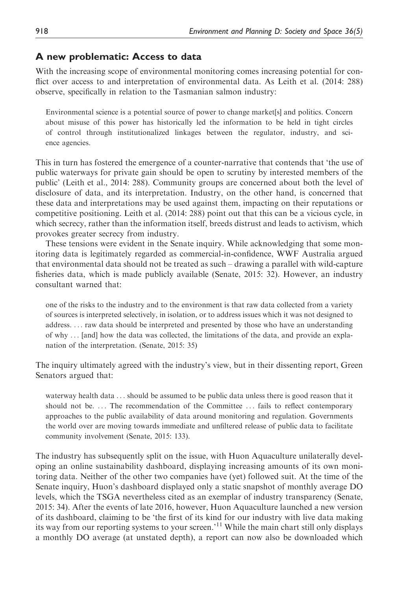## A new problematic: Access to data

With the increasing scope of environmental monitoring comes increasing potential for conflict over access to and interpretation of environmental data. As Leith et al. (2014: 288) observe, specifically in relation to the Tasmanian salmon industry:

Environmental science is a potential source of power to change market[s] and politics. Concern about misuse of this power has historically led the information to be held in tight circles of control through institutionalized linkages between the regulator, industry, and science agencies.

This in turn has fostered the emergence of a counter-narrative that contends that 'the use of public waterways for private gain should be open to scrutiny by interested members of the public' (Leith et al., 2014: 288). Community groups are concerned about both the level of disclosure of data, and its interpretation. Industry, on the other hand, is concerned that these data and interpretations may be used against them, impacting on their reputations or competitive positioning. Leith et al. (2014: 288) point out that this can be a vicious cycle, in which secrecy, rather than the information itself, breeds distrust and leads to activism, which provokes greater secrecy from industry.

These tensions were evident in the Senate inquiry. While acknowledging that some monitoring data is legitimately regarded as commercial-in-confidence, WWF Australia argued that environmental data should not be treated as such – drawing a parallel with wild-capture fisheries data, which is made publicly available (Senate, 2015: 32). However, an industry consultant warned that:

one of the risks to the industry and to the environment is that raw data collected from a variety of sources is interpreted selectively, in isolation, or to address issues which it was not designed to address. ... raw data should be interpreted and presented by those who have an understanding of why ... [and] how the data was collected, the limitations of the data, and provide an explanation of the interpretation. (Senate, 2015: 35)

The inquiry ultimately agreed with the industry's view, but in their dissenting report, Green Senators argued that:

waterway health data ... should be assumed to be public data unless there is good reason that it should not be. ... The recommendation of the Committee ... fails to reflect contemporary approaches to the public availability of data around monitoring and regulation. Governments the world over are moving towards immediate and unfiltered release of public data to facilitate community involvement (Senate, 2015: 133).

The industry has subsequently split on the issue, with Huon Aquaculture unilaterally developing an online sustainability dashboard, displaying increasing amounts of its own monitoring data. Neither of the other two companies have (yet) followed suit. At the time of the Senate inquiry, Huon's dashboard displayed only a static snapshot of monthly average DO levels, which the TSGA nevertheless cited as an exemplar of industry transparency (Senate, 2015: 34). After the events of late 2016, however, Huon Aquaculture launched a new version of its dashboard, claiming to be 'the first of its kind for our industry with live data making its way from our reporting systems to your screen.<sup>'11</sup> While the main chart still only displays a monthly DO average (at unstated depth), a report can now also be downloaded which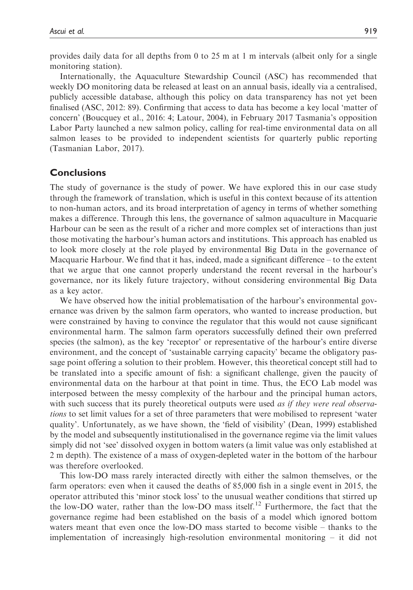provides daily data for all depths from 0 to 25 m at 1 m intervals (albeit only for a single monitoring station).

Internationally, the Aquaculture Stewardship Council (ASC) has recommended that weekly DO monitoring data be released at least on an annual basis, ideally via a centralised, publicly accessible database, although this policy on data transparency has not yet been finalised (ASC, 2012: 89). Confirming that access to data has become a key local 'matter of concern' (Boucquey et al., 2016: 4; Latour, 2004), in February 2017 Tasmania's opposition Labor Party launched a new salmon policy, calling for real-time environmental data on all salmon leases to be provided to independent scientists for quarterly public reporting (Tasmanian Labor, 2017).

## **Conclusions**

The study of governance is the study of power. We have explored this in our case study through the framework of translation, which is useful in this context because of its attention to non-human actors, and its broad interpretation of agency in terms of whether something makes a difference. Through this lens, the governance of salmon aquaculture in Macquarie Harbour can be seen as the result of a richer and more complex set of interactions than just those motivating the harbour's human actors and institutions. This approach has enabled us to look more closely at the role played by environmental Big Data in the governance of Macquarie Harbour. We find that it has, indeed, made a significant difference – to the extent that we argue that one cannot properly understand the recent reversal in the harbour's governance, nor its likely future trajectory, without considering environmental Big Data as a key actor.

We have observed how the initial problematisation of the harbour's environmental governance was driven by the salmon farm operators, who wanted to increase production, but were constrained by having to convince the regulator that this would not cause significant environmental harm. The salmon farm operators successfully defined their own preferred species (the salmon), as the key 'receptor' or representative of the harbour's entire diverse environment, and the concept of 'sustainable carrying capacity' became the obligatory passage point offering a solution to their problem. However, this theoretical concept still had to be translated into a specific amount of fish: a significant challenge, given the paucity of environmental data on the harbour at that point in time. Thus, the ECO Lab model was interposed between the messy complexity of the harbour and the principal human actors, with such success that its purely theoretical outputs were used as if they were real observations to set limit values for a set of three parameters that were mobilised to represent 'water quality'. Unfortunately, as we have shown, the 'field of visibility' (Dean, 1999) established by the model and subsequently institutionalised in the governance regime via the limit values simply did not 'see' dissolved oxygen in bottom waters (a limit value was only established at 2 m depth). The existence of a mass of oxygen-depleted water in the bottom of the harbour was therefore overlooked.

This low-DO mass rarely interacted directly with either the salmon themselves, or the farm operators: even when it caused the deaths of 85,000 fish in a single event in 2015, the operator attributed this 'minor stock loss' to the unusual weather conditions that stirred up the low-DO water, rather than the low-DO mass itself.<sup>12</sup> Furthermore, the fact that the governance regime had been established on the basis of a model which ignored bottom waters meant that even once the low-DO mass started to become visible – thanks to the implementation of increasingly high-resolution environmental monitoring – it did not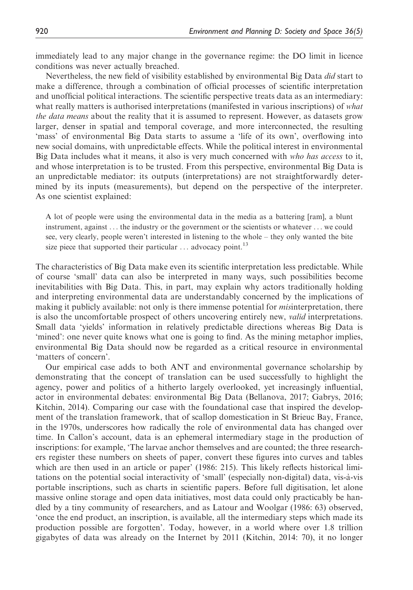immediately lead to any major change in the governance regime: the DO limit in licence conditions was never actually breached.

Nevertheless, the new field of visibility established by environmental Big Data did start to make a difference, through a combination of official processes of scientific interpretation and unofficial political interactions. The scientific perspective treats data as an intermediary: what really matters is authorised interpretations (manifested in various inscriptions) of what the data means about the reality that it is assumed to represent. However, as datasets grow larger, denser in spatial and temporal coverage, and more interconnected, the resulting 'mass' of environmental Big Data starts to assume a 'life of its own', overflowing into new social domains, with unpredictable effects. While the political interest in environmental Big Data includes what it means, it also is very much concerned with who has access to it, and whose interpretation is to be trusted. From this perspective, environmental Big Data is an unpredictable mediator: its outputs (interpretations) are not straightforwardly determined by its inputs (measurements), but depend on the perspective of the interpreter. As one scientist explained:

A lot of people were using the environmental data in the media as a battering [ram], a blunt instrument, against ... the industry or the government or the scientists or whatever ... we could see, very clearly, people weren't interested in listening to the whole – they only wanted the bite size piece that supported their particular  $\dots$  advocacy point.<sup>13</sup>

The characteristics of Big Data make even its scientific interpretation less predictable. While of course 'small' data can also be interpreted in many ways, such possibilities become inevitabilities with Big Data. This, in part, may explain why actors traditionally holding and interpreting environmental data are understandably concerned by the implications of making it publicly available: not only is there immense potential for *misinterpretation*, there is also the uncomfortable prospect of others uncovering entirely new, *valid* interpretations. Small data 'yields' information in relatively predictable directions whereas Big Data is 'mined': one never quite knows what one is going to find. As the mining metaphor implies, environmental Big Data should now be regarded as a critical resource in environmental 'matters of concern'.

Our empirical case adds to both ANT and environmental governance scholarship by demonstrating that the concept of translation can be used successfully to highlight the agency, power and politics of a hitherto largely overlooked, yet increasingly influential, actor in environmental debates: environmental Big Data (Bellanova, 2017; Gabrys, 2016; Kitchin, 2014). Comparing our case with the foundational case that inspired the development of the translation framework, that of scallop domestication in St Brieuc Bay, France, in the 1970s, underscores how radically the role of environmental data has changed over time. In Callon's account, data is an ephemeral intermediary stage in the production of inscriptions: for example, 'The larvae anchor themselves and are counted; the three researchers register these numbers on sheets of paper, convert these figures into curves and tables which are then used in an article or paper' (1986: 215). This likely reflects historical limitations on the potential social interactivity of 'small' (especially non-digital) data, vis-a`-vis portable inscriptions, such as charts in scientific papers. Before full digitisation, let alone massive online storage and open data initiatives, most data could only practicably be handled by a tiny community of researchers, and as Latour and Woolgar (1986: 63) observed, 'once the end product, an inscription, is available, all the intermediary steps which made its production possible are forgotten'. Today, however, in a world where over 1.8 trillion gigabytes of data was already on the Internet by 2011 (Kitchin, 2014: 70), it no longer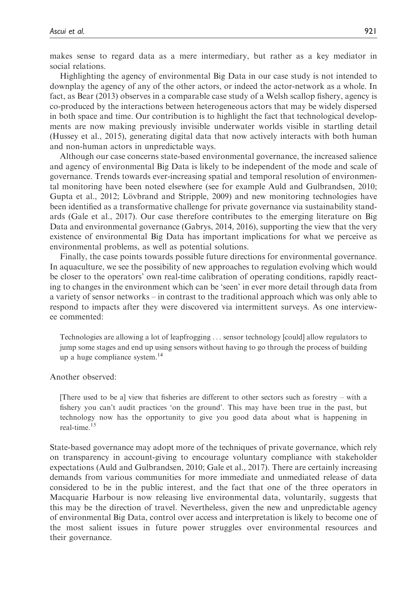makes sense to regard data as a mere intermediary, but rather as a key mediator in social relations.

Highlighting the agency of environmental Big Data in our case study is not intended to downplay the agency of any of the other actors, or indeed the actor-network as a whole. In fact, as Bear (2013) observes in a comparable case study of a Welsh scallop fishery, agency is co-produced by the interactions between heterogeneous actors that may be widely dispersed in both space and time. Our contribution is to highlight the fact that technological developments are now making previously invisible underwater worlds visible in startling detail (Hussey et al., 2015), generating digital data that now actively interacts with both human and non-human actors in unpredictable ways.

Although our case concerns state-based environmental governance, the increased salience and agency of environmental Big Data is likely to be independent of the mode and scale of governance. Trends towards ever-increasing spatial and temporal resolution of environmental monitoring have been noted elsewhere (see for example Auld and Gulbrandsen, 2010; Gupta et al., 2012; Lövbrand and Stripple, 2009) and new monitoring technologies have been identified as a transformative challenge for private governance via sustainability standards (Gale et al., 2017). Our case therefore contributes to the emerging literature on Big Data and environmental governance (Gabrys, 2014, 2016), supporting the view that the very existence of environmental Big Data has important implications for what we perceive as environmental problems, as well as potential solutions.

Finally, the case points towards possible future directions for environmental governance. In aquaculture, we see the possibility of new approaches to regulation evolving which would be closer to the operators' own real-time calibration of operating conditions, rapidly reacting to changes in the environment which can be 'seen' in ever more detail through data from a variety of sensor networks – in contrast to the traditional approach which was only able to respond to impacts after they were discovered via intermittent surveys. As one interviewee commented:

Technologies are allowing a lot of leapfrogging ... sensor technology [could] allow regulators to jump some stages and end up using sensors without having to go through the process of building up a huge compliance system.14

Another observed:

[There used to be a] view that fisheries are different to other sectors such as forestry – with a fishery you can't audit practices 'on the ground'. This may have been true in the past, but technology now has the opportunity to give you good data about what is happening in real-time.15

State-based governance may adopt more of the techniques of private governance, which rely on transparency in account-giving to encourage voluntary compliance with stakeholder expectations (Auld and Gulbrandsen, 2010; Gale et al., 2017). There are certainly increasing demands from various communities for more immediate and unmediated release of data considered to be in the public interest, and the fact that one of the three operators in Macquarie Harbour is now releasing live environmental data, voluntarily, suggests that this may be the direction of travel. Nevertheless, given the new and unpredictable agency of environmental Big Data, control over access and interpretation is likely to become one of the most salient issues in future power struggles over environmental resources and their governance.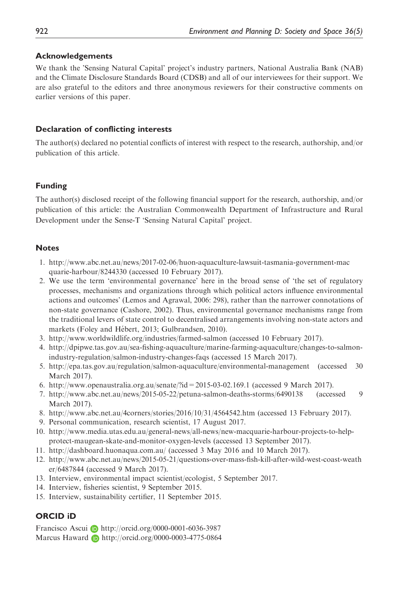## Acknowledgements

We thank the 'Sensing Natural Capital' project's industry partners, National Australia Bank (NAB) and the Climate Disclosure Standards Board (CDSB) and all of our interviewees for their support. We are also grateful to the editors and three anonymous reviewers for their constructive comments on earlier versions of this paper.

## Declaration of conflicting interests

The author(s) declared no potential conflicts of interest with respect to the research, authorship, and/or publication of this article.

## Funding

The author(s) disclosed receipt of the following financial support for the research, authorship, and/or publication of this article: the Australian Commonwealth Department of Infrastructure and Rural Development under the Sense-T 'Sensing Natural Capital' project.

## **Notes**

- 1. [http://www.abc.net.au/news/2017-02-06/huon-aquaculture-lawsuit-tasmania-government-mac](http://www.abc.net.au/news/2017-02-06/huon-aquaculture-lawsuit-tasmania-government-macquarie-harbour/8244330) [quarie-harbour/8244330](http://www.abc.net.au/news/2017-02-06/huon-aquaculture-lawsuit-tasmania-government-macquarie-harbour/8244330) (accessed 10 February 2017).
- 2. We use the term 'environmental governance' here in the broad sense of 'the set of regulatory processes, mechanisms and organizations through which political actors influence environmental actions and outcomes' (Lemos and Agrawal, 2006: 298), rather than the narrower connotations of non-state governance (Cashore, 2002). Thus, environmental governance mechanisms range from the traditional levers of state control to decentralised arrangements involving non-state actors and markets (Foley and Hébert, 2013; Gulbrandsen, 2010).
- 3.<http://www.worldwildlife.org/industries/farmed-salmon> (accessed 10 February 2017).
- 4. [http://dpipwe.tas.gov.au/sea-fishing-aquaculture/marine-farming-aquaculture/changes-to-salmon](http://dpipwe.tas.gov.au/sea-fishing-aquaculture/marine-farming-aquaculture/changes-to-salmon-industry-regulation/salmon-industry-changes-faqs)[industry-regulation/salmon-industry-changes-faqs](http://dpipwe.tas.gov.au/sea-fishing-aquaculture/marine-farming-aquaculture/changes-to-salmon-industry-regulation/salmon-industry-changes-faqs) (accessed 15 March 2017).
- 5.<http://epa.tas.gov.au/regulation/salmon-aquaculture/environmental-management> (accessed 30 March 2017).
- 6.<http://www.openaustralia.org.au/senate/?id=2015-03-02.169.1> (accessed 9 March 2017).
- 7.<http://www.abc.net.au/news/2015-05-22/petuna-salmon-deaths-storms/6490138> (accessed 9 March 2017).
- 8.<http://www.abc.net.au/4corners/stories/2016/10/31/4564542.htm> (accessed 13 February 2017).
- 9. Personal communication, research scientist, 17 August 2017.
- 10. [http://www.media.utas.edu.au/general-news/all-news/new-macquarie-harbour-projects-to-help](http://www.media.utas.edu.au/general-news/all-news/new-macquarie-harbour-projects-to-help-protect-maugean-skate-and-monitor-oxygen-levels)[protect-maugean-skate-and-monitor-oxygen-levels](http://www.media.utas.edu.au/general-news/all-news/new-macquarie-harbour-projects-to-help-protect-maugean-skate-and-monitor-oxygen-levels) (accessed 13 September 2017).
- 11.<http://dashboard.huonaqua.com.au/> (accessed 3 May 2016 and 10 March 2017).
- 12. [http://www.abc.net.au/news/2015-05-21/questions-over-mass-fish-kill-after-wild-west-coast-weath](http://www.abc.net.au/news/2015-05-21/questions-over-mass-fish-kill-after-wild-west-coast-weather/6487844) [er/6487844](http://www.abc.net.au/news/2015-05-21/questions-over-mass-fish-kill-after-wild-west-coast-weather/6487844) (accessed 9 March 2017).
- 13. Interview, environmental impact scientist/ecologist, 5 September 2017.
- 14. Interview, fisheries scientist, 9 September 2015.
- 15. Interview, sustainability certifier, 11 September 2015.

## ORCID iD

Francisco Ascui **b** http://orcid.org/0000-0001-6036-3987 Marcus Haward **b** http://orcid.org/0000-0003-4775-0864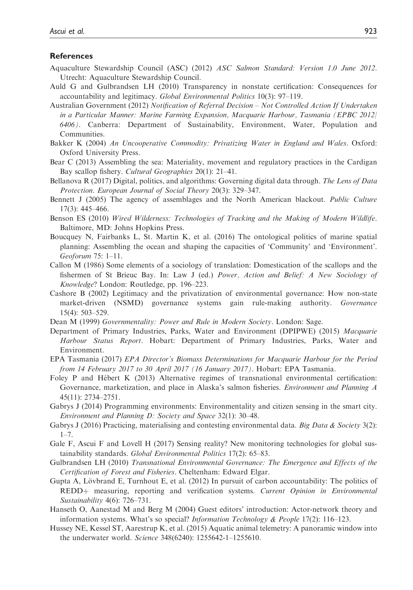#### **References**

- Aquaculture Stewardship Council (ASC) (2012) ASC Salmon Standard: Version 1.0 June 2012. Utrecht: Aquaculture Stewardship Council.
- Auld G and Gulbrandsen LH (2010) Transparency in nonstate certification: Consequences for accountability and legitimacy. Global Environmental Politics 10(3): 97–119.
- Australian Government (2012) Notification of Referral Decision Not Controlled Action If Undertaken in a Particular Manner: Marine Farming Expansion, Macquarie Harbour, Tasmania (EPBC 2012/ 6406). Canberra: Department of Sustainability, Environment, Water, Population and Communities.
- Bakker K (2004) An Uncooperative Commodity: Privatizing Water in England and Wales. Oxford: Oxford University Press.
- Bear C (2013) Assembling the sea: Materiality, movement and regulatory practices in the Cardigan Bay scallop fishery. Cultural Geographies 20(1): 21–41.
- Bellanova R (2017) Digital, politics, and algorithms: Governing digital data through. The Lens of Data Protection. European Journal of Social Theory 20(3): 329–347.
- Bennett J (2005) The agency of assemblages and the North American blackout. Public Culture 17(3): 445–466.
- Benson ES (2010) Wired Wilderness: Technologies of Tracking and the Making of Modern Wildlife. Baltimore, MD: Johns Hopkins Press.
- Boucquey N, Fairbanks L, St. Martin K, et al. (2016) The ontological politics of marine spatial planning: Assembling the ocean and shaping the capacities of 'Community' and 'Environment'. Geoforum 75: 1–11.
- Callon M (1986) Some elements of a sociology of translation: Domestication of the scallops and the fishermen of St Brieuc Bay. In: Law J (ed.) Power, Action and Belief: A New Sociology of Knowledge? London: Routledge, pp. 196–223.
- Cashore B (2002) Legitimacy and the privatization of environmental governance: How non-state market-driven (NSMD) governance systems gain rule-making authority. Governance 15(4): 503–529.
- Dean M (1999) Governmentality: Power and Rule in Modern Society. London: Sage.
- Department of Primary Industries, Parks, Water and Environment (DPIPWE) (2015) Macquarie Harbour Status Report. Hobart: Department of Primary Industries, Parks, Water and Environment.
- EPA Tasmania (2017) EPA Director's Biomass Determinations for Macquarie Harbour for the Period from 14 February 2017 to 30 April 2017 (16 January 2017). Hobart: EPA Tasmania.
- Foley P and Hébert K (2013) Alternative regimes of transnational environmental certification: Governance, marketization, and place in Alaska's salmon fisheries. Environment and Planning A 45(11): 2734–2751.
- Gabrys J (2014) Programming environments: Environmentality and citizen sensing in the smart city. Environment and Planning D: Society and Space 32(1): 30–48.
- Gabrys J (2016) Practicing, materialising and contesting environmental data. Big Data & Society 3(2):  $1 - 7$ .
- Gale F, Ascui F and Lovell H (2017) Sensing reality? New monitoring technologies for global sustainability standards. Global Environmental Politics 17(2): 65-83.
- Gulbrandsen LH (2010) Transnational Environmental Governance: The Emergence and Effects of the Certification of Forest and Fisheries. Cheltenham: Edward Elgar.
- Gupta A, Lövbrand E, Turnhout E, et al.  $(2012)$  In pursuit of carbon accountability: The politics of REDD+ measuring, reporting and verification systems. Current Opinion in Environmental Sustainability 4(6): 726–731.
- Hanseth O, Aanestad M and Berg M (2004) Guest editors' introduction: Actor-network theory and information systems. What's so special? *Information Technology & People* 17(2): 116–123.
- Hussey NE, Kessel ST, Aarestrup K, et al. (2015) Aquatic animal telemetry: A panoramic window into the underwater world. Science 348(6240): 1255642-1–1255610.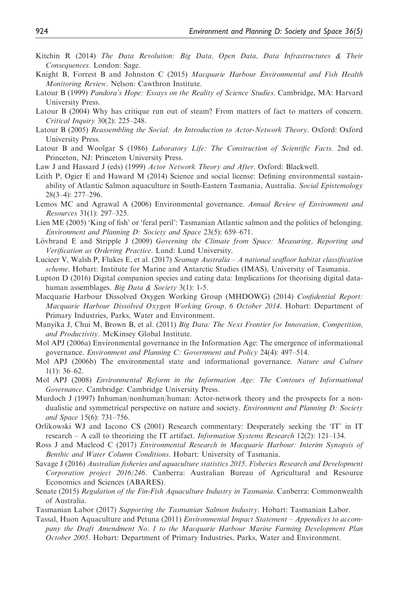- Kitchin R (2014) The Data Revolution: Big Data, Open Data, Data Infrastructures & Their Consequences. London: Sage.
- Knight B, Forrest B and Johnston C (2015) Macquarie Harbour Environmental and Fish Health Monitoring Review. Nelson: Cawthron Institute.
- Latour B (1999) Pandora's Hope: Essays on the Reality of Science Studies. Cambridge, MA: Harvard University Press.
- Latour B (2004) Why has critique run out of steam? From matters of fact to matters of concern. Critical Inquiry 30(2): 225–248.
- Latour B (2005) Reassembling the Social: An Introduction to Actor-Network Theory. Oxford: Oxford University Press.
- Latour B and Woolgar S (1986) Laboratory Life: The Construction of Scientific Facts. 2nd ed. Princeton, NJ: Princeton University Press.
- Law J and Hassard J (eds) (1999) Actor Network Theory and After. Oxford: Blackwell.
- Leith P, Ogier E and Haward M (2014) Science and social license: Defining environmental sustainability of Atlantic Salmon aquaculture in South-Eastern Tasmania, Australia. Social Epistemology 28(3–4): 277–296.
- Lemos MC and Agrawal A (2006) Environmental governance. Annual Review of Environment and Resources 31(1): 297–325.
- Lien ME (2005) 'King of fish' or 'feral peril': Tasmanian Atlantic salmon and the politics of belonging. Environment and Planning D: Society and Space 23(5): 659–671.
- Lövbrand E and Stripple J (2009) Governing the Climate from Space: Measuring, Reporting and Verification as Ordering Practice. Lund: Lund University.
- Lucieer V, Walsh P, Flukes E, et al. (2017) Seamap Australia A national seafloor habitat classification scheme. Hobart: Institute for Marine and Antarctic Studies (IMAS), University of Tasmania.
- Lupton D (2016) Digital companion species and eating data: Implications for theorising digital datahuman assemblages. Big Data & Society 3(1): 1-5.
- Macquarie Harbour Dissolved Oxygen Working Group (MHDOWG) (2014) Confidential Report: Macquarie Harbour Dissolved Oxygen Working Group, 6 October 2014. Hobart: Department of Primary Industries, Parks, Water and Environment.
- Manyika J, Chui M, Brown B, et al. (2011) Big Data: The Next Frontier for Innovation, Competition, and Productivity. McKinsey Global Institute.
- Mol APJ (2006a) Environmental governance in the Information Age: The emergence of informational governance. Environment and Planning C: Government and Policy 24(4): 497–514.
- Mol APJ (2006b) The environmental state and informational governance. Nature and Culture  $1(1)$ : 36–62.
- Mol APJ (2008) Environmental Reform in the Information Age: The Contours of Informational Governance. Cambridge: Cambridge University Press.
- Murdoch J (1997) Inhuman/nonhuman/human: Actor-network theory and the prospects for a nondualistic and symmetrical perspective on nature and society. Environment and Planning D: Society and Space 15(6): 731–756.
- Orlikowski WJ and Iacono CS (2001) Research commentary: Desperately seeking the 'IT' in IT research – A call to theorizing the IT artifact. Information Systems Research 12(2): 121–134.
- Ross J and Macleod C (2017) Environmental Research in Macquarie Harbour: Interim Synopsis of Benthic and Water Column Conditions. Hobart: University of Tasmania.
- Savage J (2016) Australian fisheries and aquaculture statistics 2015. Fisheries Research and Development Corporation project 2016/246. Canberra: Australian Bureau of Agricultural and Resource Economics and Sciences (ABARES).
- Senate (2015) Regulation of the Fin-Fish Aquaculture Industry in Tasmania. Canberra: Commonwealth of Australia.
- Tasmanian Labor (2017) Supporting the Tasmanian Salmon Industry. Hobart: Tasmanian Labor.
- Tassal, Huon Aquaculture and Petuna (2011) Environmental Impact Statement Appendices to accompany the Draft Amendment No. 1 to the Macquarie Harbour Marine Farming Development Plan October 2005. Hobart: Department of Primary Industries, Parks, Water and Environment.